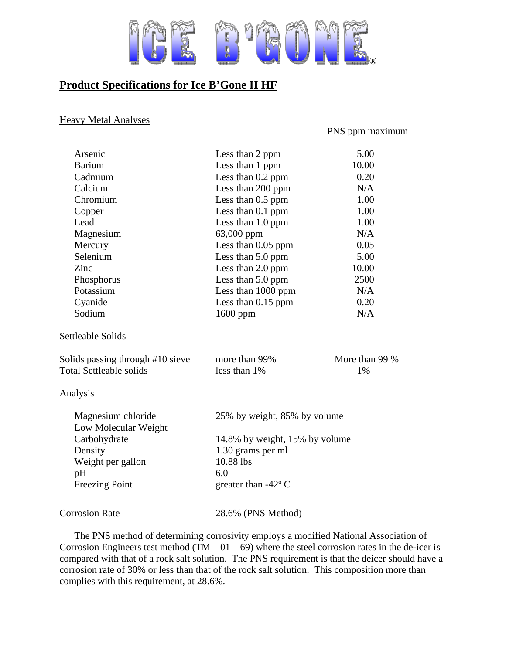

## **Product Specifications for Ice B'Gone II HF**

## Heavy Metal Analyses

## PNS ppm maximum

| Arsenic                                    | Less than 2 ppm                | 5.00           |
|--------------------------------------------|--------------------------------|----------------|
| <b>Barium</b>                              | Less than 1 ppm                | 10.00          |
| Cadmium                                    | Less than 0.2 ppm              | 0.20           |
| Calcium                                    | Less than 200 ppm              | N/A            |
| Chromium                                   | Less than 0.5 ppm              | 1.00           |
| Copper                                     | Less than 0.1 ppm              | 1.00           |
| Lead                                       | Less than 1.0 ppm              | 1.00           |
| Magnesium                                  | 63,000 ppm                     | N/A            |
| Mercury                                    | Less than $0.05$ ppm           | 0.05           |
| Selenium                                   | Less than 5.0 ppm              | 5.00           |
| Zinc                                       | Less than 2.0 ppm              | 10.00          |
| Phosphorus                                 | Less than 5.0 ppm              | 2500           |
| Potassium                                  | Less than 1000 ppm             | N/A            |
| Cyanide                                    | Less than $0.15$ ppm           | 0.20           |
| Sodium                                     | 1600 ppm                       | N/A            |
| Settleable Solids                          |                                |                |
| Solids passing through #10 sieve           | more than 99%                  | More than 99 % |
| <b>Total Settleable solids</b>             | less than 1%                   | 1%             |
| <b>Analysis</b>                            |                                |                |
| Magnesium chloride<br>Low Molecular Weight | 25% by weight, 85% by volume   |                |
| Carbohydrate                               | 14.8% by weight, 15% by volume |                |
| Density                                    | 1.30 grams per ml              |                |
| Weight per gallon                          | 10.88 lbs                      |                |
| pH                                         | 6.0                            |                |
| <b>Freezing Point</b>                      | greater than $-42^{\circ}$ C   |                |
| <b>Corrosion Rate</b>                      | 28.6% (PNS Method)             |                |

 The PNS method of determining corrosivity employs a modified National Association of Corrosion Engineers test method  $(TM - 01 - 69)$  where the steel corrosion rates in the de-icer is compared with that of a rock salt solution. The PNS requirement is that the deicer should have a corrosion rate of 30% or less than that of the rock salt solution. This composition more than complies with this requirement, at 28.6%.